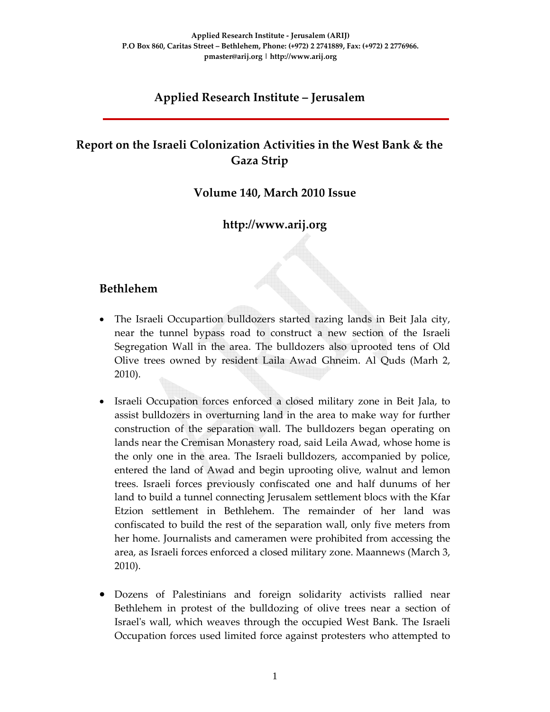# **Applied Research Institute – Jerusalem**

# **Report on the Israeli Colonization Activities in the West Bank & the Gaza Strip**

#### **Volume 140, March 2010 Issue**

## **http://www.arij.org**

#### **Bethlehem**

- The Israeli Occupartion bulldozers started razing lands in Beit Jala city, near the tunnel bypass road to construct a new section of the Israeli Segregation Wall in the area. The bulldozers also uprooted tens of Old Olive trees owned by resident Laila Awad Ghneim. Al Quds (Marh 2, 2010).
- Israeli Occupation forces enforced a closed military zone in Beit Jala, to assist bulldozers in overturning land in the area to make way for further construction of the separation wall. The bulldozers began operating on lands near the Cremisan Monastery road, said Leila Awad, whose home is the only one in the area. The Israeli bulldozers, accompanied by police, entered the land of Awad and begin uprooting olive, walnut and lemon trees. Israeli forces previously confiscated one and half dunums of her land to build a tunnel connecting Jerusalem settlement blocs with the Kfar Etzion settlement in Bethlehem. The remainder of her land was confiscated to build the rest of the separation wall, only five meters from her home. Journalists and cameramen were prohibited from accessing the area, as Israeli forces enforced a closed military zone. Maannews (March 3, 2010).
- Dozens of Palestinians and foreign solidarity activists rallied near Bethlehem in protest of the bulldozing of olive trees near a section of Israel's wall, which weaves through the occupied West Bank. The Israeli Occupation forces used limited force against protesters who attempted to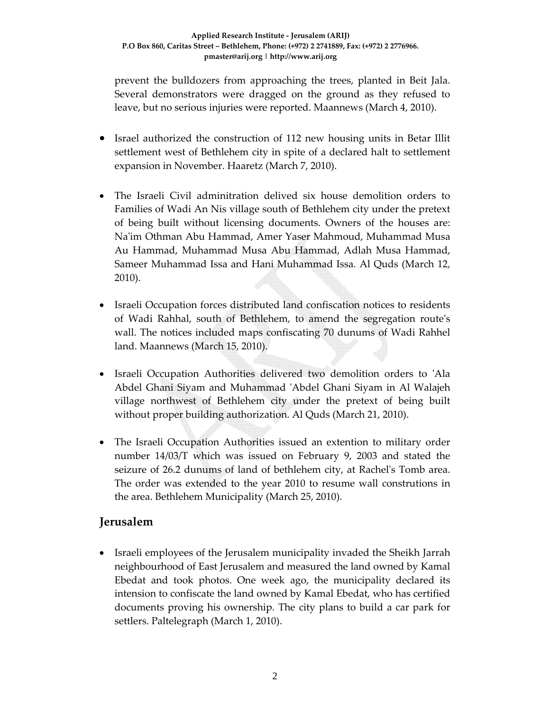prevent the bulldozers from approaching the trees, planted in Beit Jala. Several demonstrators were dragged on the ground as they refused to leave, but no serious injuries were reported. Maannews (March 4, 2010).

- Israel authorized the construction of 112 new housing units in Betar Illit settlement west of Bethlehem city in spite of a declared halt to settlement expansion in November. Haaretz (March 7, 2010).
- The Israeli Civil adminitration delived six house demolition orders to Families of Wadi An Nis village south of Bethlehem city under the pretext of being built without licensing documents. Owners of the houses are: Naʹim Othman Abu Hammad, Amer Yaser Mahmoud, Muhammad Musa Au Hammad, Muhammad Musa Abu Hammad, Adlah Musa Hammad, Sameer Muhammad Issa and Hani Muhammad Issa. Al Quds (March 12, 2010).
- Israeli Occupation forces distributed land confiscation notices to residents of Wadi Rahhal, south of Bethlehem, to amend the segregation routeʹs wall. The notices included maps confiscating 70 dunums of Wadi Rahhel land. Maannews (March 15, 2010).
- Israeli Occupation Authorities delivered two demolition orders to 'Ala Abdel Ghani Siyam and Muhammad ʹAbdel Ghani Siyam in Al Walajeh village northwest of Bethlehem city under the pretext of being built without proper building authorization. Al Quds (March 21, 2010).
- The Israeli Occupation Authorities issued an extention to military order number 14/03/T which was issued on February 9, 2003 and stated the seizure of 26.2 dunums of land of bethlehem city, at Rachel's Tomb area. The order was extended to the year 2010 to resume wall construtions in the area. Bethlehem Municipality (March 25, 2010).

# **Jerusalem**

• Israeli employees of the Jerusalem municipality invaded the Sheikh Jarrah neighbourhood of East Jerusalem and measured the land owned by Kamal Ebedat and took photos. One week ago, the municipality declared its intension to confiscate the land owned by Kamal Ebedat, who has certified documents proving his ownership. The city plans to build a car park for settlers. Paltelegraph (March 1, 2010).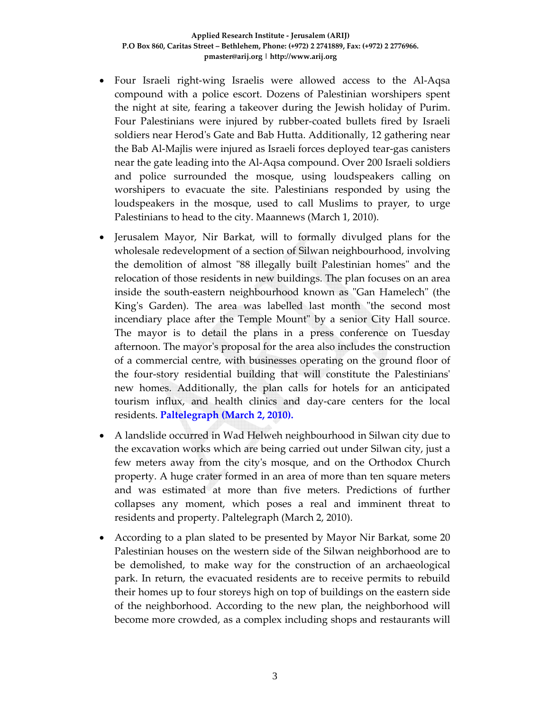- Four Israeli right-wing Israelis were allowed access to the Al-Aqsa compound with a police escort. Dozens of Palestinian worshipers spent the night at site, fearing a takeover during the Jewish holiday of Purim. Four Palestinians were injured by rubber-coated bullets fired by Israeli soldiers near Herodʹs Gate and Bab Hutta. Additionally, 12 gathering near the Bab Al‐Majlis were injured as Israeli forces deployed tear‐gas canisters near the gate leading into the Al‐Aqsa compound. Over 200 Israeli soldiers and police surrounded the mosque, using loudspeakers calling on worshipers to evacuate the site. Palestinians responded by using the loudspeakers in the mosque, used to call Muslims to prayer, to urge Palestinians to head to the city. Maannews (March 1, 2010).
- Jerusalem Mayor, Nir Barkat, will to formally divulged plans for the wholesale redevelopment of a section of Silwan neighbourhood, involving the demolition of almost "88 illegally built Palestinian homes" and the relocation of those residents in new buildings. The plan focuses on an area inside the south-eastern neighbourhood known as "Gan Hamelech" (the King's Garden). The area was labelled last month "the second most incendiary place after the Temple Mount" by a senior City Hall source. The mayor is to detail the plans in a press conference on Tuesday afternoon. The mayorʹs proposal for the area also includes the construction of a commercial centre, with businesses operating on the ground floor of the four‐story residential building that will constitute the Palestiniansʹ new homes. Additionally, the plan calls for hotels for an anticipated tourism influx, and health clinics and day‐care centers for the local residents. **Paltelegraph (March 2, 2010).**
- A landslide occurred in Wad Helweh neighbourhood in Silwan city due to the excavation works which are being carried out under Silwan city, just a few meters away from the cityʹs mosque, and on the Orthodox Church property. A huge crater formed in an area of more than ten square meters and was estimated at more than five meters. Predictions of further collapses any moment, which poses a real and imminent threat to residents and property. Paltelegraph (March 2, 2010).
- According to a plan slated to be presented by Mayor Nir Barkat, some 20 Palestinian houses on the western side of the Silwan neighborhood are to be demolished, to make way for the construction of an archaeological park. In return, the evacuated residents are to receive permits to rebuild their homes up to four storeys high on top of buildings on the eastern side of the neighborhood. According to the new plan, the neighborhood will become more crowded, as a complex including shops and restaurants will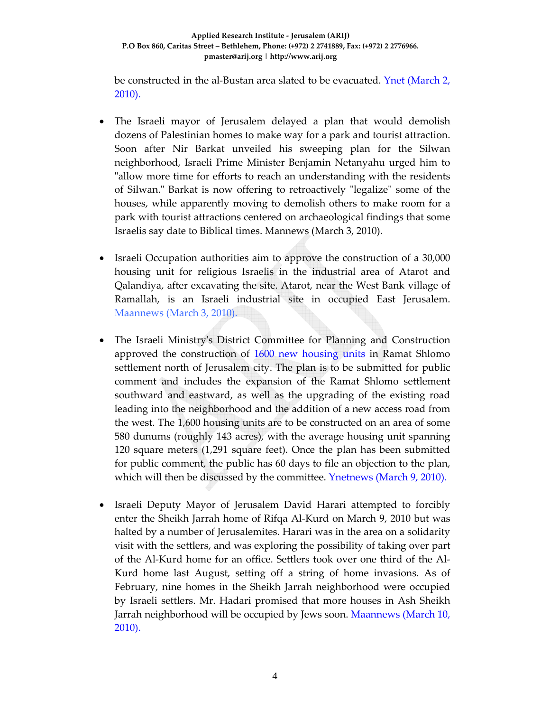be constructed in the al-Bustan area slated to be evacuated. Ynet (March 2, 2010).

- The Israeli mayor of Jerusalem delayed a plan that would demolish dozens of Palestinian homes to make way for a park and tourist attraction. Soon after Nir Barkat unveiled his sweeping plan for the Silwan neighborhood, Israeli Prime Minister Benjamin Netanyahu urged him to ʺallow more time for efforts to reach an understanding with the residents of Silwan." Barkat is now offering to retroactively "legalize" some of the houses, while apparently moving to demolish others to make room for a park with tourist attractions centered on archaeological findings that some Israelis say date to Biblical times. Mannews (March 3, 2010).
- Israeli Occupation authorities aim to approve the construction of a 30,000 housing unit for religious Israelis in the industrial area of Atarot and Qalandiya, after excavating the site. Atarot, near the West Bank village of Ramallah, is an Israeli industrial site in occupied East Jerusalem. Maannews (March 3, 2010).
- The Israeli Ministry's District Committee for Planning and Construction approved the construction of 1600 new housing units in Ramat Shlomo settlement north of Jerusalem city. The plan is to be submitted for public comment and includes the expansion of the Ramat Shlomo settlement southward and eastward, as well as the upgrading of the existing road leading into the neighborhood and the addition of a new access road from the west. The 1,600 housing units are to be constructed on an area of some 580 dunums (roughly 143 acres), with the average housing unit spanning 120 square meters (1,291 square feet). Once the plan has been submitted for public comment, the public has 60 days to file an objection to the plan, which will then be discussed by the committee. Ynetnews (March 9, 2010).
- Israeli Deputy Mayor of Jerusalem David Harari attempted to forcibly enter the Sheikh Jarrah home of Rifqa Al‐Kurd on March 9, 2010 but was halted by a number of Jerusalemites. Harari was in the area on a solidarity visit with the settlers, and was exploring the possibility of taking over part of the Al‐Kurd home for an office. Settlers took over one third of the Al‐ Kurd home last August, setting off a string of home invasions. As of February, nine homes in the Sheikh Jarrah neighborhood were occupied by Israeli settlers. Mr. Hadari promised that more houses in Ash Sheikh Jarrah neighborhood will be occupied by Jews soon. Maannews (March 10, 2010).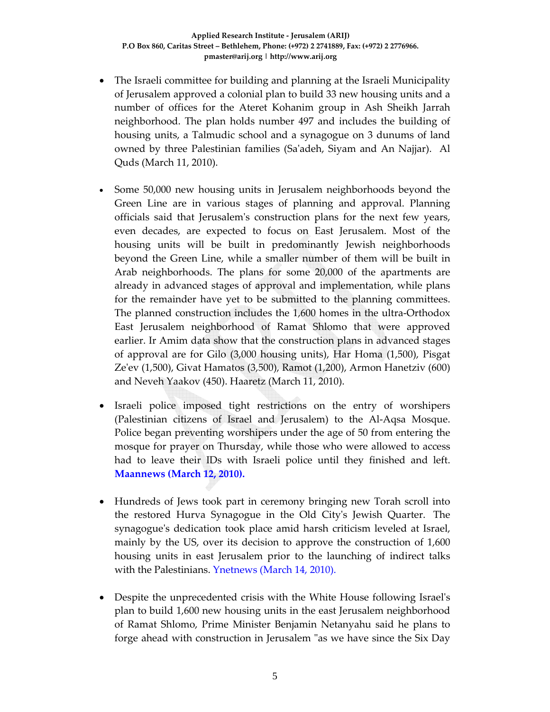- The Israeli committee for building and planning at the Israeli Municipality of Jerusalem approved a colonial plan to build 33 new housing units and a number of offices for the Ateret Kohanim group in Ash Sheikh Jarrah neighborhood. The plan holds number 497 and includes the building of housing units, a Talmudic school and a synagogue on 3 dunums of land owned by three Palestinian families (Saʹadeh, Siyam and An Najjar). Al Quds (March 11, 2010).
- Some 50,000 new housing units in Jerusalem neighborhoods beyond the Green Line are in various stages of planning and approval. Planning officials said that Jerusalemʹs construction plans for the next few years, even decades, are expected to focus on East Jerusalem. Most of the housing units will be built in predominantly Jewish neighborhoods beyond the Green Line, while a smaller number of them will be built in Arab neighborhoods. The plans for some 20,000 of the apartments are already in advanced stages of approval and implementation, while plans for the remainder have yet to be submitted to the planning committees. The planned construction includes the 1,600 homes in the ultra‐Orthodox East Jerusalem neighborhood of Ramat Shlomo that were approved earlier. Ir Amim data show that the construction plans in advanced stages of approval are for Gilo (3,000 housing units), Har Homa (1,500), Pisgat Zeʹev (1,500), Givat Hamatos (3,500), Ramot (1,200), Armon Hanetziv (600) and Neveh Yaakov (450). Haaretz (March 11, 2010).
- Israeli police imposed tight restrictions on the entry of worshipers (Palestinian citizens of Israel and Jerusalem) to the Al‐Aqsa Mosque. Police began preventing worshipers under the age of 50 from entering the mosque for prayer on Thursday, while those who were allowed to access had to leave their IDs with Israeli police until they finished and left. **Maannews (March 12, 2010).**
- Hundreds of Jews took part in ceremony bringing new Torah scroll into the restored Hurva Synagogue in the Old Cityʹs Jewish Quarter. The synagogue's dedication took place amid harsh criticism leveled at Israel, mainly by the US, over its decision to approve the construction of 1,600 housing units in east Jerusalem prior to the launching of indirect talks with the Palestinians. Ynetnews (March 14, 2010).
- Despite the unprecedented crisis with the White House following Israelʹs plan to build 1,600 new housing units in the east Jerusalem neighborhood of Ramat Shlomo, Prime Minister Benjamin Netanyahu said he plans to forge ahead with construction in Jerusalem "as we have since the Six Day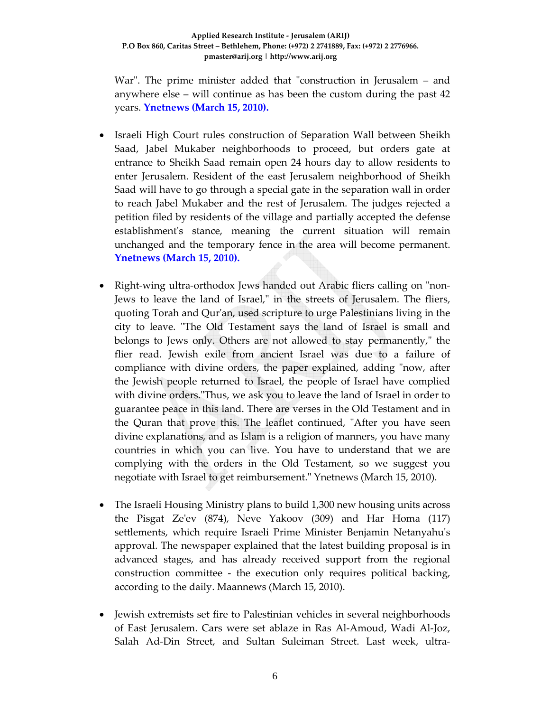War". The prime minister added that "construction in Jerusalem  $-$  and anywhere else – will continue as has been the custom during the past 42 years. **Ynetnews (March 15, 2010).**

- Israeli High Court rules construction of Separation Wall between Sheikh Saad, Jabel Mukaber neighborhoods to proceed, but orders gate at entrance to Sheikh Saad remain open 24 hours day to allow residents to enter Jerusalem. Resident of the east Jerusalem neighborhood of Sheikh Saad will have to go through a special gate in the separation wall in order to reach Jabel Mukaber and the rest of Jerusalem. The judges rejected a petition filed by residents of the village and partially accepted the defense establishmentʹs stance, meaning the current situation will remain unchanged and the temporary fence in the area will become permanent. **Ynetnews (March 15, 2010).**
- Right-wing ultra-orthodox Jews handed out Arabic fliers calling on "non-Jews to leave the land of Israel," in the streets of Jerusalem. The fliers, quoting Torah and Qurʹan, used scripture to urge Palestinians living in the city to leave. "The Old Testament says the land of Israel is small and belongs to Jews only. Others are not allowed to stay permanently," the flier read. Jewish exile from ancient Israel was due to a failure of compliance with divine orders, the paper explained, adding "now, after the Jewish people returned to Israel, the people of Israel have complied with divine orders. Thus, we ask you to leave the land of Israel in order to guarantee peace in this land. There are verses in the Old Testament and in the Quran that prove this. The leaflet continued, "After you have seen divine explanations, and as Islam is a religion of manners, you have many countries in which you can live. You have to understand that we are complying with the orders in the Old Testament, so we suggest you negotiate with Israel to get reimbursement. Ynetnews (March 15, 2010).
- The Israeli Housing Ministry plans to build 1,300 new housing units across the Pisgat Zeʹev (874), Neve Yakoov (309) and Har Homa (117) settlements, which require Israeli Prime Minister Benjamin Netanyahuʹs approval. The newspaper explained that the latest building proposal is in advanced stages, and has already received support from the regional construction committee - the execution only requires political backing, according to the daily. Maannews (March 15, 2010).
- Jewish extremists set fire to Palestinian vehicles in several neighborhoods of East Jerusalem. Cars were set ablaze in Ras Al‐Amoud, Wadi Al‐Joz, Salah Ad-Din Street, and Sultan Suleiman Street. Last week, ultra-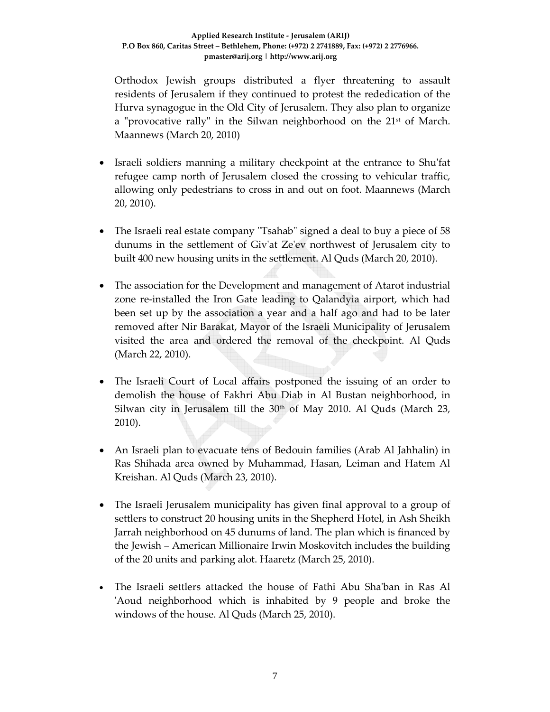#### **Applied Research Institute ‐ Jerusalem (ARIJ) P.O Box 860, Caritas Street – Bethlehem, Phone: (+972) 2 2741889, Fax: (+972) 2 2776966. pmaster@arij.org | http://www.arij.org**

Orthodox Jewish groups distributed a flyer threatening to assault residents of Jerusalem if they continued to protest the rededication of the Hurva synagogue in the Old City of Jerusalem. They also plan to organize a "provocative rally" in the Silwan neighborhood on the  $21<sup>st</sup>$  of March. Maannews (March 20, 2010)

- Israeli soldiers manning a military checkpoint at the entrance to Shu'fat refugee camp north of Jerusalem closed the crossing to vehicular traffic, allowing only pedestrians to cross in and out on foot. Maannews (March 20, 2010).
- The Israeli real estate company "Tsahab" signed a deal to buy a piece of 58 dunums in the settlement of Givʹat Zeʹev northwest of Jerusalem city to built 400 new housing units in the settlement. Al Quds (March 20, 2010).
- The association for the Development and management of Atarot industrial zone re-installed the Iron Gate leading to Qalandyia airport, which had been set up by the association a year and a half ago and had to be later removed after Nir Barakat, Mayor of the Israeli Municipality of Jerusalem visited the area and ordered the removal of the checkpoint. Al Quds (March 22, 2010).
- The Israeli Court of Local affairs postponed the issuing of an order to demolish the house of Fakhri Abu Diab in Al Bustan neighborhood, in Silwan city in Jerusalem till the  $30<sup>th</sup>$  of May 2010. Al Quds (March 23, 2010).
- An Israeli plan to evacuate tens of Bedouin families (Arab Al Jahhalin) in Ras Shihada area owned by Muhammad, Hasan, Leiman and Hatem Al Kreishan. Al Quds (March 23, 2010).
- The Israeli Jerusalem municipality has given final approval to a group of settlers to construct 20 housing units in the Shepherd Hotel, in Ash Sheikh Jarrah neighborhood on 45 dunums of land. The plan which is financed by the Jewish – American Millionaire Irwin Moskovitch includes the building of the 20 units and parking alot. Haaretz (March 25, 2010).
- The Israeli settlers attacked the house of Fathi Abu Sha'ban in Ras Al ʹAoud neighborhood which is inhabited by 9 people and broke the windows of the house. Al Quds (March 25, 2010).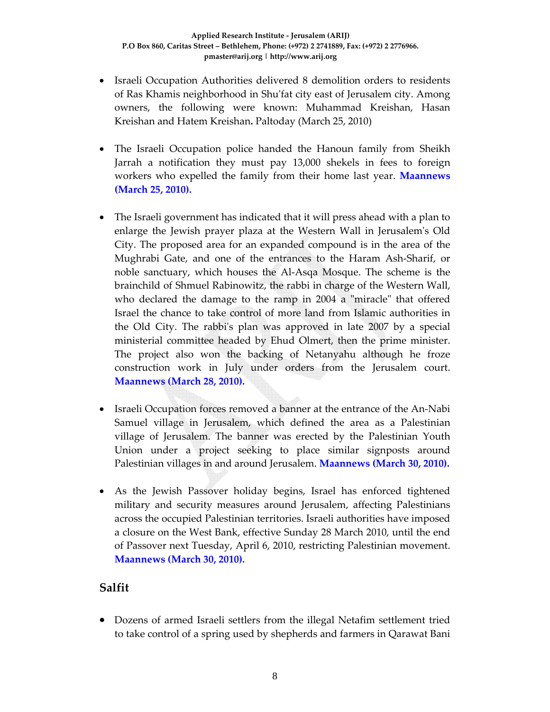- Israeli Occupation Authorities delivered 8 demolition orders to residents of Ras Khamis neighborhood in Shuʹfat city east of Jerusalem city. Among owners, the following were known: Muhammad Kreishan, Hasan Kreishan and Hatem Kreishan**.** Paltoday (March 25, 2010)
- The Israeli Occupation police handed the Hanoun family from Sheikh Jarrah a notification they must pay 13,000 shekels in fees to foreign workers who expelled the family from their home last year. **Maannews (March 25, 2010).**
- The Israeli government has indicated that it will press ahead with a plan to enlarge the Jewish prayer plaza at the Western Wall in Jerusalemʹs Old City. The proposed area for an expanded compound is in the area of the Mughrabi Gate, and one of the entrances to the Haram Ash‐Sharif, or noble sanctuary, which houses the Al‐Asqa Mosque. The scheme is the brainchild of Shmuel Rabinowitz, the rabbi in charge of the Western Wall, who declared the damage to the ramp in  $2004$  a "miracle" that offered Israel the chance to take control of more land from Islamic authorities in the Old City. The rabbiʹs plan was approved in late 2007 by a special ministerial committee headed by Ehud Olmert, then the prime minister. The project also won the backing of Netanyahu although he froze construction work in July under orders from the Jerusalem court. **Maannews (March 28, 2010).**
- Israeli Occupation forces removed a banner at the entrance of the An-Nabi Samuel village in Jerusalem, which defined the area as a Palestinian village of Jerusalem. The banner was erected by the Palestinian Youth Union under a project seeking to place similar signposts around Palestinian villages in and around Jerusalem. **Maannews (March 30, 2010).**
- As the Jewish Passover holiday begins, Israel has enforced tightened military and security measures around Jerusalem, affecting Palestinians across the occupied Palestinian territories. Israeli authorities have imposed a closure on the West Bank, effective Sunday 28 March 2010, until the end of Passover next Tuesday, April 6, 2010, restricting Palestinian movement. **Maannews (March 30, 2010).**

# **Salfit**

• Dozens of armed Israeli settlers from the illegal Netafim settlement tried to take control of a spring used by shepherds and farmers in Qarawat Bani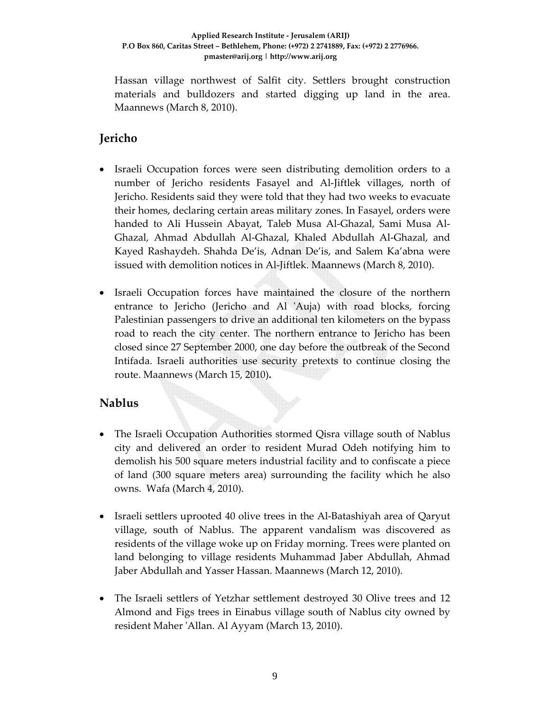Hassan village northwest of Salfit city. Settlers brought construction materials and bulldozers and started digging up land in the area. Maannews (March 8, 2010).

# **Jericho**

- Israeli Occupation forces were seen distributing demolition orders to a number of Jericho residents Fasayel and Al‐Jiftlek villages, north of Jericho. Residents said they were told that they had two weeks to evacuate their homes, declaring certain areas military zones. In Fasayel, orders were handed to Ali Hussein Abayat, Taleb Musa Al‐Ghazal, Sami Musa Al‐ Ghazal, Ahmad Abdullah Al‐Ghazal, Khaled Abdullah Al‐Ghazal, and Kayed Rashaydeh. Shahda De'is, Adnan De'is, and Salem Ka'abna were issued with demolition notices in Al‐Jiftlek. Maannews (March 8, 2010).
- Israeli Occupation forces have maintained the closure of the northern entrance to Jericho (Jericho and Al 'Auja) with road blocks, forcing Palestinian passengers to drive an additional ten kilometers on the bypass road to reach the city center. The northern entrance to Jericho has been closed since 27 September 2000, one day before the outbreak of the Second Intifada. Israeli authorities use security pretexts to continue closing the route. Maannews (March 15, 2010)**.**

# **Nablus**

- The Israeli Occupation Authorities stormed Qisra village south of Nablus city and delivered an order to resident Murad Odeh notifying him to demolish his 500 square meters industrial facility and to confiscate a piece of land (300 square meters area) surrounding the facility which he also owns. Wafa (March 4, 2010).
- Israeli settlers uprooted 40 olive trees in the Al-Batashiyah area of Qaryut village, south of Nablus. The apparent vandalism was discovered as residents of the village woke up on Friday morning. Trees were planted on land belonging to village residents Muhammad Jaber Abdullah, Ahmad Jaber Abdullah and Yasser Hassan. Maannews (March 12, 2010).
- The Israeli settlers of Yetzhar settlement destroyed 30 Olive trees and 12 Almond and Figs trees in Einabus village south of Nablus city owned by resident Maher ʹAllan. Al Ayyam (March 13, 2010).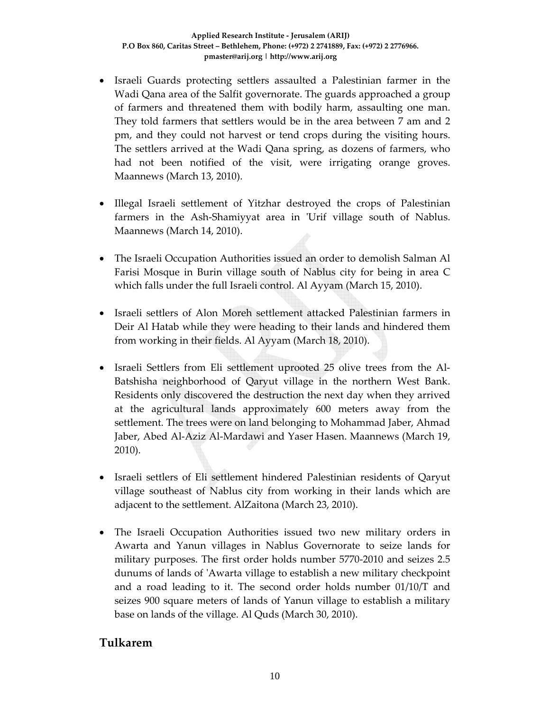- Israeli Guards protecting settlers assaulted a Palestinian farmer in the Wadi Qana area of the Salfit governorate. The guards approached a group of farmers and threatened them with bodily harm, assaulting one man. They told farmers that settlers would be in the area between 7 am and 2 pm, and they could not harvest or tend crops during the visiting hours. The settlers arrived at the Wadi Qana spring, as dozens of farmers, who had not been notified of the visit, were irrigating orange groves. Maannews (March 13, 2010).
- Illegal Israeli settlement of Yitzhar destroyed the crops of Palestinian farmers in the Ash-Shamiyyat area in 'Urif village south of Nablus. Maannews (March 14, 2010).
- The Israeli Occupation Authorities issued an order to demolish Salman Al Farisi Mosque in Burin village south of Nablus city for being in area C which falls under the full Israeli control. Al Ayyam (March 15, 2010).
- Israeli settlers of Alon Moreh settlement attacked Palestinian farmers in Deir Al Hatab while they were heading to their lands and hindered them from working in their fields. Al Ayyam (March 18, 2010).
- Israeli Settlers from Eli settlement uprooted 25 olive trees from the Al-Batshisha neighborhood of Qaryut village in the northern West Bank. Residents only discovered the destruction the next day when they arrived at the agricultural lands approximately 600 meters away from the settlement. The trees were on land belonging to Mohammad Jaber, Ahmad Jaber, Abed Al‐Aziz Al‐Mardawi and Yaser Hasen. Maannews (March 19, 2010).
- Israeli settlers of Eli settlement hindered Palestinian residents of Qaryut village southeast of Nablus city from working in their lands which are adjacent to the settlement. AlZaitona (March 23, 2010).
- The Israeli Occupation Authorities issued two new military orders in Awarta and Yanun villages in Nablus Governorate to seize lands for military purposes. The first order holds number 5770‐2010 and seizes 2.5 dunums of lands of ʹAwarta village to establish a new military checkpoint and a road leading to it. The second order holds number 01/10/T and seizes 900 square meters of lands of Yanun village to establish a military base on lands of the village. Al Quds (March 30, 2010).

# **Tulkarem**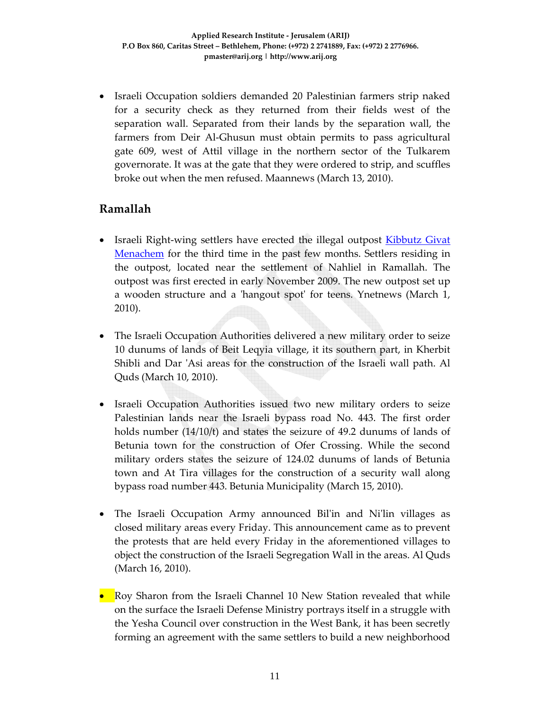• Israeli Occupation soldiers demanded 20 Palestinian farmers strip naked for a security check as they returned from their fields west of the separation wall. Separated from their lands by the separation wall, the farmers from Deir Al-Ghusun must obtain permits to pass agricultural gate 609, west of Attil village in the northern sector of the Tulkarem governorate. It was at the gate that they were ordered to strip, and scuffles broke out when the men refused. Maannews (March 13, 2010).

## **Ramallah**

- Israeli Right-wing settlers have erected the illegal outpost Kibbutz Givat Menachem for the third time in the past few months. Settlers residing in the outpost, located near the settlement of Nahliel in Ramallah. The outpost was first erected in early November 2009. The new outpost set up a wooden structure and a 'hangout spot' for teens. Ynetnews (March 1, 2010).
- The Israeli Occupation Authorities delivered a new military order to seize 10 dunums of lands of Beit Leqyia village, it its southern part, in Kherbit Shibli and Dar 'Asi areas for the construction of the Israeli wall path. Al Quds (March 10, 2010).
- Israeli Occupation Authorities issued two new military orders to seize Palestinian lands near the Israeli bypass road No. 443. The first order holds number (14/10/t) and states the seizure of 49.2 dunums of lands of Betunia town for the construction of Ofer Crossing. While the second military orders states the seizure of 124.02 dunums of lands of Betunia town and At Tira villages for the construction of a security wall along bypass road number 443. Betunia Municipality (March 15, 2010).
- The Israeli Occupation Army announced Bil'in and Ni'lin villages as closed military areas every Friday. This announcement came as to prevent the protests that are held every Friday in the aforementioned villages to object the construction of the Israeli Segregation Wall in the areas. Al Quds (March 16, 2010).
- Roy Sharon from the Israeli Channel 10 New Station revealed that while on the surface the Israeli Defense Ministry portrays itself in a struggle with the Yesha Council over construction in the West Bank, it has been secretly forming an agreement with the same settlers to build a new neighborhood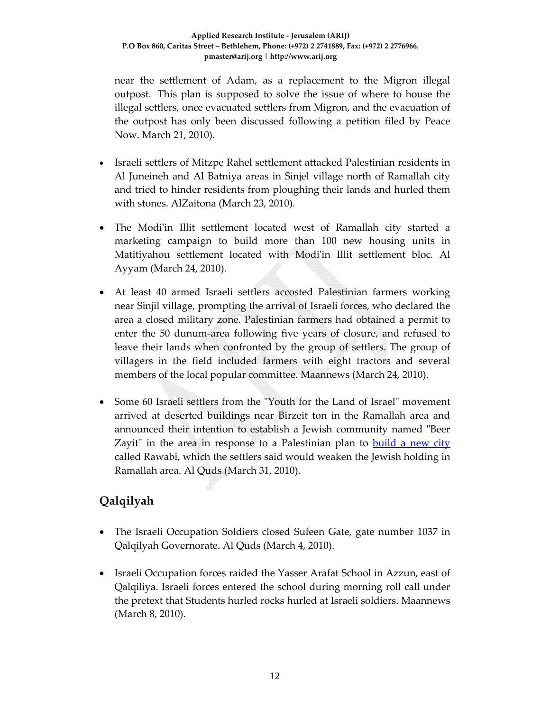near the settlement of Adam, as a replacement to the Migron illegal outpost. This plan is supposed to solve the issue of where to house the illegal settlers, once evacuated settlers from Migron, and the evacuation of the outpost has only been discussed following a petition filed by Peace Now. March 21, 2010).

- Israeli settlers of Mitzpe Rahel settlement attacked Palestinian residents in Al Juneineh and Al Batniya areas in Sinjel village north of Ramallah city and tried to hinder residents from ploughing their lands and hurled them with stones. AlZaitona (March 23, 2010).
- The Modi'in Illit settlement located west of Ramallah city started a marketing campaign to build more than 100 new housing units in Matitiyahou settlement located with Modiʹin Illit settlement bloc. Al Ayyam (March 24, 2010).
- At least 40 armed Israeli settlers accosted Palestinian farmers working near Sinjil village, prompting the arrival of Israeli forces, who declared the area a closed military zone. Palestinian farmers had obtained a permit to enter the 50 dunum‐area following five years of closure, and refused to leave their lands when confronted by the group of settlers. The group of villagers in the field included farmers with eight tractors and several members of the local popular committee. Maannews (March 24, 2010).
- Some 60 Israeli settlers from the "Youth for the Land of Israel" movement arrived at deserted buildings near Birzeit ton in the Ramallah area and announced their intention to establish a Jewish community named "Beer Zayit" in the area in response to a Palestinian plan to **build** a new city called Rawabi, which the settlers said would weaken the Jewish holding in Ramallah area. Al Quds (March 31, 2010).

# **Qalqilyah**

- The Israeli Occupation Soldiers closed Sufeen Gate, gate number 1037 in Qalqilyah Governorate. Al Quds (March 4, 2010).
- Israeli Occupation forces raided the Yasser Arafat School in Azzun, east of Qalqiliya. Israeli forces entered the school during morning roll call under the pretext that Students hurled rocks hurled at Israeli soldiers. Maannews (March 8, 2010).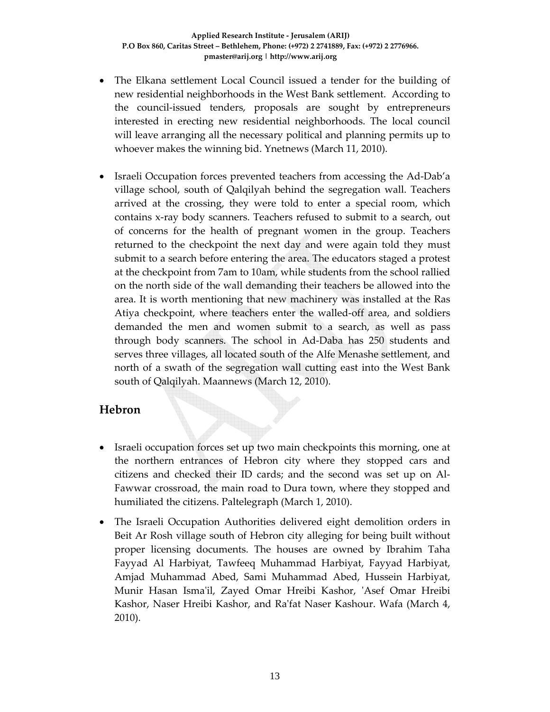- The Elkana settlement Local Council issued a tender for the building of new residential neighborhoods in the West Bank settlement. According to the council‐issued tenders, proposals are sought by entrepreneurs interested in erecting new residential neighborhoods. The local council will leave arranging all the necessary political and planning permits up to whoever makes the winning bid. Ynetnews (March 11, 2010).
- Israeli Occupation forces prevented teachers from accessing the Ad-Dab'a village school, south of Qalqilyah behind the segregation wall. Teachers arrived at the crossing, they were told to enter a special room, which contains x‐ray body scanners. Teachers refused to submit to a search, out of concerns for the health of pregnant women in the group. Teachers returned to the checkpoint the next day and were again told they must submit to a search before entering the area. The educators staged a protest at the checkpoint from 7am to 10am, while students from the school rallied on the north side of the wall demanding their teachers be allowed into the area. It is worth mentioning that new machinery was installed at the Ras Atiya checkpoint, where teachers enter the walled‐off area, and soldiers demanded the men and women submit to a search, as well as pass through body scanners. The school in Ad‐Daba has 250 students and serves three villages, all located south of the Alfe Menashe settlement, and north of a swath of the segregation wall cutting east into the West Bank south of Qalqilyah. Maannews (March 12, 2010).

# **Hebron**

- Israeli occupation forces set up two main checkpoints this morning, one at the northern entrances of Hebron city where they stopped cars and citizens and checked their ID cards; and the second was set up on Al‐ Fawwar crossroad, the main road to Dura town, where they stopped and humiliated the citizens. Paltelegraph (March 1, 2010).
- The Israeli Occupation Authorities delivered eight demolition orders in Beit Ar Rosh village south of Hebron city alleging for being built without proper licensing documents. The houses are owned by Ibrahim Taha Fayyad Al Harbiyat, Tawfeeq Muhammad Harbiyat, Fayyad Harbiyat, Amjad Muhammad Abed, Sami Muhammad Abed, Hussein Harbiyat, Munir Hasan Ismaʹil, Zayed Omar Hreibi Kashor, ʹAsef Omar Hreibi Kashor, Naser Hreibi Kashor, and Raʹfat Naser Kashour. Wafa (March 4, 2010).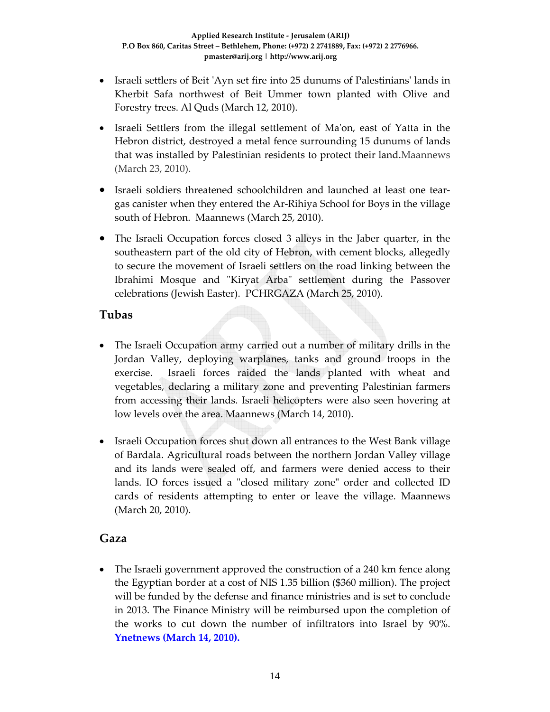- Israeli settlers of Beit 'Ayn set fire into 25 dunums of Palestinians' lands in Kherbit Safa northwest of Beit Ummer town planted with Olive and Forestry trees. Al Quds (March 12, 2010).
- Israeli Settlers from the illegal settlement of Ma'on, east of Yatta in the Hebron district, destroyed a metal fence surrounding 15 dunums of lands that was installed by Palestinian residents to protect their land.Maannews (March 23, 2010).
- Israeli soldiers threatened schoolchildren and launched at least one tear‐ gas canister when they entered the Ar‐Rihiya School for Boys in the village south of Hebron. Maannews (March 25, 2010).
- The Israeli Occupation forces closed 3 alleys in the Jaber quarter, in the southeastern part of the old city of Hebron, with cement blocks, allegedly to secure the movement of Israeli settlers on the road linking between the Ibrahimi Mosque and "Kiryat Arba" settlement during the Passover celebrations (Jewish Easter). PCHRGAZA (March 25, 2010).

## **Tubas**

- The Israeli Occupation army carried out a number of military drills in the Jordan Valley, deploying warplanes, tanks and ground troops in the exercise. Israeli forces raided the lands planted with wheat and vegetables, declaring a military zone and preventing Palestinian farmers from accessing their lands. Israeli helicopters were also seen hovering at low levels over the area. Maannews (March 14, 2010).
- Israeli Occupation forces shut down all entrances to the West Bank village of Bardala. Agricultural roads between the northern Jordan Valley village and its lands were sealed off, and farmers were denied access to their lands. IO forces issued a "closed military zone" order and collected ID cards of residents attempting to enter or leave the village. Maannews (March 20, 2010).

#### **Gaza**

• The Israeli government approved the construction of a 240 km fence along the Egyptian border at a cost of NIS 1.35 billion (\$360 million). The project will be funded by the defense and finance ministries and is set to conclude in 2013. The Finance Ministry will be reimbursed upon the completion of the works to cut down the number of infiltrators into Israel by 90%. **Ynetnews (March 14, 2010).**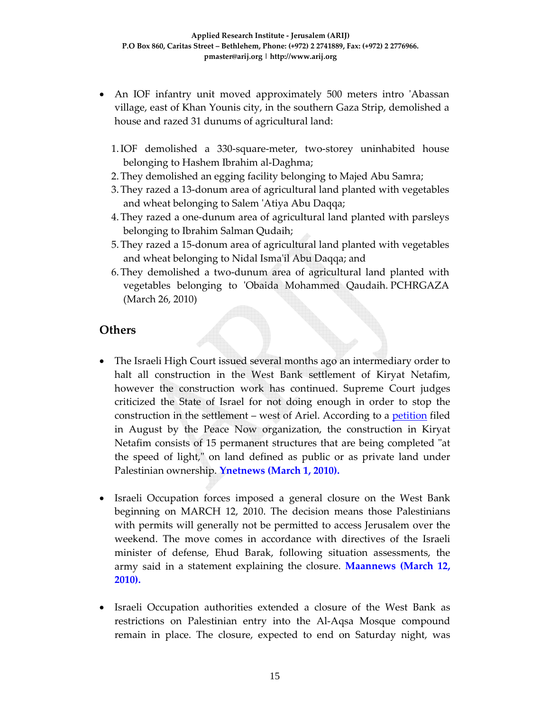- An IOF infantry unit moved approximately 500 meters intro *'Abassan* village, east of Khan Younis city, in the southern Gaza Strip, demolished a house and razed 31 dunums of agricultural land:
	- 1.IOF demolished a 330‐square‐meter, two‐storey uninhabited house belonging to Hashem Ibrahim al‐Daghma;
	- 2. They demolished an egging facility belonging to Majed Abu Samra;
	- 3. They razed a 13‐donum area of agricultural land planted with vegetables and wheat belonging to Salem ʹAtiya Abu Daqqa;
	- 4. They razed a one‐dunum area of agricultural land planted with parsleys belonging to Ibrahim Salman Qudaih;
	- 5. They razed a 15‐donum area of agricultural land planted with vegetables and wheat belonging to Nidal Ismaʹil Abu Daqqa; and
	- 6. They demolished a two‐dunum area of agricultural land planted with vegetables belonging to 'Obaida Mohammed Qaudaih. PCHRGAZA (March 26, 2010)

# **Others**

- The Israeli High Court issued several months ago an intermediary order to halt all construction in the West Bank settlement of Kiryat Netafim, however the construction work has continued. Supreme Court judges criticized the State of Israel for not doing enough in order to stop the construction in the settlement – west of Ariel. According to a petition filed in August by the Peace Now organization, the construction in Kiryat Netafim consists of 15 permanent structures that are being completed "at the speed of light," on land defined as public or as private land under Palestinian ownership. **Ynetnews (March 1, 2010).**
- Israeli Occupation forces imposed a general closure on the West Bank beginning on MARCH 12, 2010. The decision means those Palestinians with permits will generally not be permitted to access Jerusalem over the weekend. The move comes in accordance with directives of the Israeli minister of defense, Ehud Barak, following situation assessments, the army said in a statement explaining the closure. **Maannews (March 12, 2010).**
- Israeli Occupation authorities extended a closure of the West Bank as restrictions on Palestinian entry into the Al‐Aqsa Mosque compound remain in place. The closure, expected to end on Saturday night, was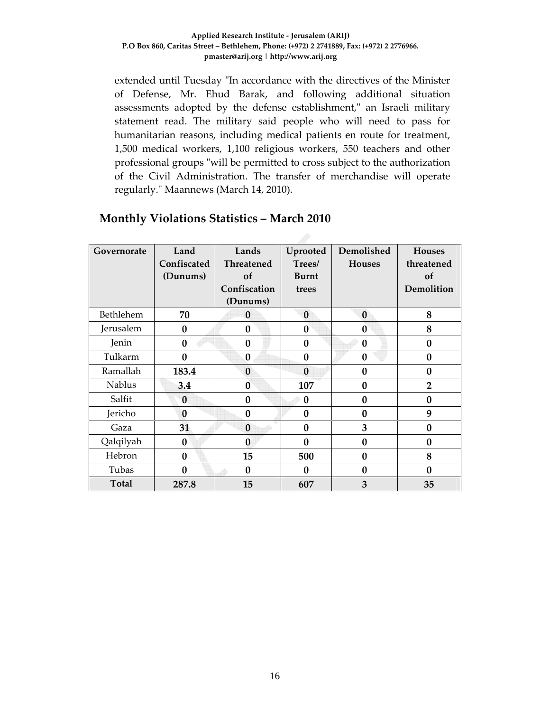extended until Tuesday "In accordance with the directives of the Minister of Defense, Mr. Ehud Barak, and following additional situation assessments adopted by the defense establishment," an Israeli military statement read. The military said people who will need to pass for humanitarian reasons, including medical patients en route for treatment, 1,500 medical workers, 1,100 religious workers, 550 teachers and other professional groups "will be permitted to cross subject to the authorization of the Civil Administration. The transfer of merchandise will operate regularly." Maannews (March 14, 2010).

| Governorate   | Land             | Lands             | Uprooted     | Demolished    | <b>Houses</b>    |
|---------------|------------------|-------------------|--------------|---------------|------------------|
|               | Confiscated      | <b>Threatened</b> | Trees/       | <b>Houses</b> | threatened       |
|               | (Dunums)         | <b>of</b>         | <b>Burnt</b> |               | <b>of</b>        |
|               |                  | Confiscation      | trees        |               | Demolition       |
|               |                  | (Dunums)          |              |               |                  |
| Bethlehem     | 70               | $\bf{0}$          | $\bf{0}$     | $\mathbf{0}$  | 8                |
| Jerusalem     | $\bf{0}$         | $\bf{0}$          | $\bf{0}$     | $\bf{0}$      | 8                |
| Jenin         | $\mathbf{0}$     | $\mathbf{0}$      | $\mathbf{0}$ | $\bf{0}$      | $\boldsymbol{0}$ |
| Tulkarm       | $\boldsymbol{0}$ | $\bf{0}$          | $\mathbf{0}$ | $\mathbf{0}$  | $\bf{0}$         |
| Ramallah      | 183.4            | $\bf{0}$          | $\mathbf{0}$ | $\mathbf{0}$  | $\bf{0}$         |
| <b>Nablus</b> | 3.4              | $\bf{0}$          | 107          | $\bf{0}$      | $\overline{2}$   |
| Salfit        | $\bf{0}$         | $\bf{0}$          | $\bf{0}$     | $\bf{0}$      | $\bf{0}$         |
| Jericho       | $\bf{0}$         | $\bf{0}$          | $\bf{0}$     | $\bf{0}$      | 9                |
| Gaza          | 31               | $\bf{0}$          | $\bf{0}$     | 3             | $\bf{0}$         |
| Qalqilyah     | $\bf{0}$         | $\bf{0}$          | $\mathbf{0}$ | $\bf{0}$      | $\mathbf{0}$     |
| Hebron        | $\bf{0}$         | 15                | 500          | $\bf{0}$      | 8                |
| Tubas         | 0                | $\mathbf{0}$      | 0            | $\mathbf{0}$  | $\mathbf{0}$     |
| <b>Total</b>  | 287.8            | 15                | 607          | 3             | 35               |

## **Monthly Violations Statistics – March 2010**